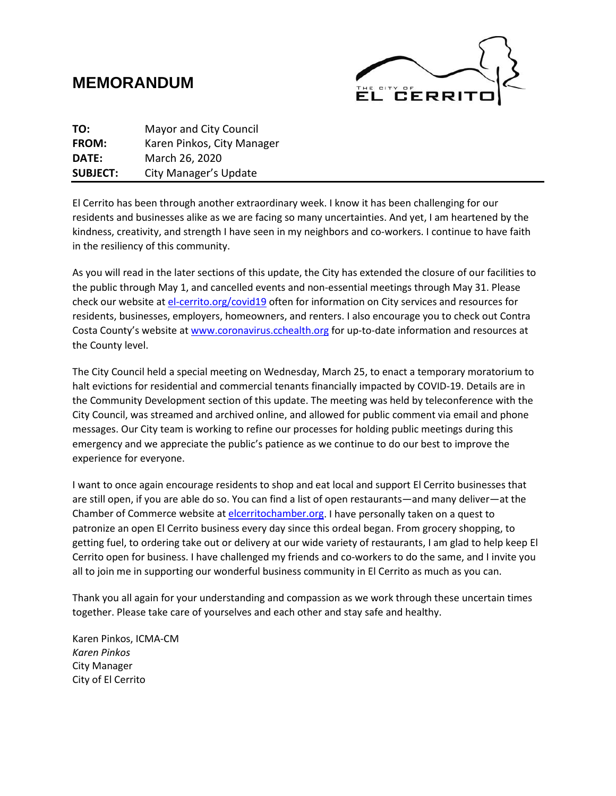# **MEMORANDUM**



| TO:             | <b>Mayor and City Council</b> |
|-----------------|-------------------------------|
| FROM:           | Karen Pinkos, City Manager    |
| DATE:           | March 26, 2020                |
| <b>SUBJECT:</b> | City Manager's Update         |

El Cerrito has been through another extraordinary week. I know it has been challenging for our residents and businesses alike as we are facing so many uncertainties. And yet, I am heartened by the kindness, creativity, and strength I have seen in my neighbors and co-workers. I continue to have faith in the resiliency of this community.

As you will read in the later sections of this update, the City has extended the closure of our facilities to the public through May 1, and cancelled events and non-essential meetings through May 31. Please check our website at [el-cerrito.org/covid19](http://www.el-cerrito.org/covid19) often for information on City services and resources for residents, businesses, employers, homeowners, and renters. I also encourage you to check out Contra Costa County's website at [www.coronavirus.cchealth.org](http://www.coronavirus.cchealth.org/) for up-to-date information and resources at the County level.

The City Council held a special meeting on Wednesday, March 25, to enact a temporary moratorium to halt evictions for residential and commercial tenants financially impacted by COVID-19. Details are in the Community Development section of this update. The meeting was held by teleconference with the City Council, was streamed and archived online, and allowed for public comment via email and phone messages. Our City team is working to refine our processes for holding public meetings during this emergency and we appreciate the public's patience as we continue to do our best to improve the experience for everyone.

I want to once again encourage residents to shop and eat local and support El Cerrito businesses that are still open, if you are able do so. You can find a list of open restaurants—and many deliver—at the Chamber of Commerce website at [elcerritochamber.org.](http://www.elcerritochamber.org/) I have personally taken on a quest to patronize an open El Cerrito business every day since this ordeal began. From grocery shopping, to getting fuel, to ordering take out or delivery at our wide variety of restaurants, I am glad to help keep El Cerrito open for business. I have challenged my friends and co-workers to do the same, and I invite you all to join me in supporting our wonderful business community in El Cerrito as much as you can.

Thank you all again for your understanding and compassion as we work through these uncertain times together. Please take care of yourselves and each other and stay safe and healthy.

Karen Pinkos, ICMA-CM *Karen Pinkos* City Manager City of El Cerrito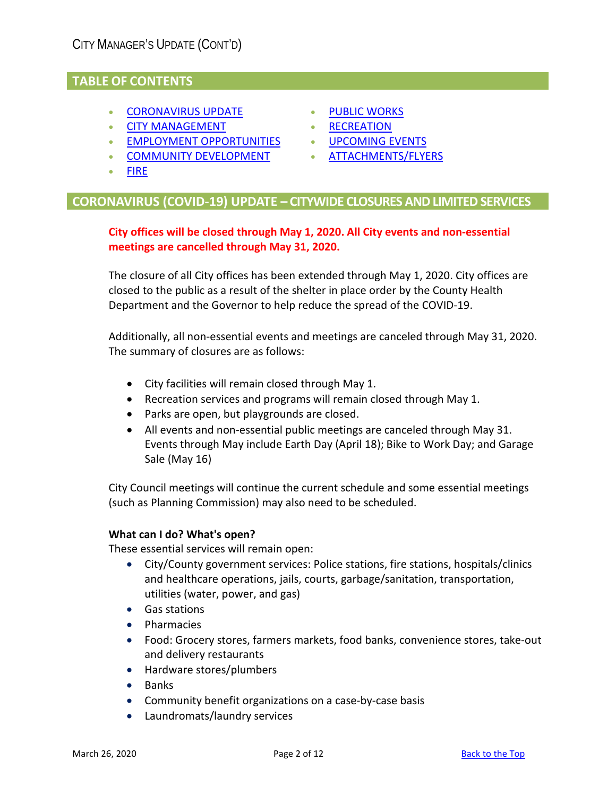# **TABLE OF CONTENTS**

- [CORONAVIRUS](#page-1-0) UPDATE
- [CITY MANAGEMENT](#page-1-0)
- [EMPLOYMENT OPPORTUNITIES](#page-2-0)
- [COMMUNITY DEVELOPMENT](#page-3-0)
- [PUBLIC WORKS](#page-5-0)
- [RECREATION](#page-8-0)
- UPCOMING EVENTS
- ATTACHMENTS/FLYERS

• [FIRE](#page-5-0)

# <span id="page-1-0"></span>**CORONAVIRUS (COVID-19) UPDATE – CITYWIDE CLOSURES AND LIMITED SERVICES**

## **City offices will be closed through May 1, 2020. All City events and non-essential meetings are cancelled through May 31, 2020.**

The closure of all City offices has been extended through May 1, 2020. City offices are closed to the public as a result of the shelter in place order by the County Health Department and the Governor to help reduce the spread of the COVID-19.

Additionally, all non-essential events and meetings are canceled through May 31, 2020. The summary of closures are as follows:

- City facilities will remain closed through May 1.
- Recreation services and programs will remain closed through May 1.
- Parks are open, but playgrounds are closed.
- All events and non-essential public meetings are canceled through May 31. Events through May include Earth Day (April 18); Bike to Work Day; and Garage Sale (May 16)

City Council meetings will continue the current schedule and some essential meetings (such as Planning Commission) may also need to be scheduled.

#### **What can I do? What's open?**

These essential services will remain open:

- City/County government services: Police stations, fire stations, hospitals/clinics and healthcare operations, jails, courts, garbage/sanitation, transportation, utilities (water, power, and gas)
- Gas stations
- Pharmacies
- Food: Grocery stores, farmers markets, food banks, convenience stores, take-out and delivery restaurants
- Hardware stores/plumbers
- Banks
- Community benefit organizations on a case-by-case basis
- Laundromats/laundry services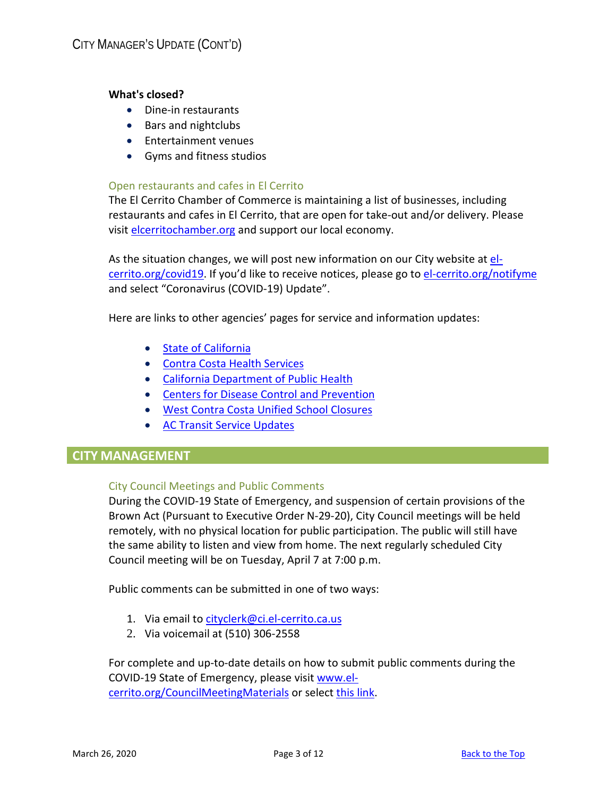#### **What's closed?**

- Dine-in restaurants
- Bars and nightclubs
- Entertainment venues
- Gyms and fitness studios

#### Open restaurants and cafes in El Cerrito

The El Cerrito Chamber of Commerce is maintaining a list of businesses, including restaurants and cafes in El Cerrito, that are open for take-out and/or delivery. Please visit [elcerritochamber.org](https://www.elcerritochamber.org/) and support our local economy.

As the situation changes, we will post new information on our City website at [el](http://www.el-cerrito.org/covid19)[cerrito.org/covid19.](http://www.el-cerrito.org/covid19) If you'd like to receive notices, please go to [el-cerrito.org/notifyme](http://www.el-cerrito.org/notifyme) and select "Coronavirus (COVID-19) Update".

Here are links to other agencies' pages for service and information updates:

- [State of California](https://covid19.ca.gov/)
- [Contra Costa Health Services](https://www.coronavirus.cchealth.org/)
- [California Department of](https://www.cdph.ca.gov/Programs/CID/DCDC/Pages/Immunization/ncov2019.aspx) Public Health
- [Centers for Disease Control and Prevention](https://www.cdc.gov/coronavirus/2019-nCoV/index.html)
- [West Contra Costa Unified School Closures](https://www.wccusd.net/)
- [AC Transit Service Updates](http://www.actransit.org/servicebulletins/)

# **CITY MANAGEMENT**

#### City Council Meetings and Public Comments

During the COVID-19 State of Emergency, and suspension of certain provisions of the Brown Act (Pursuant to Executive Order N-29-20), City Council meetings will be held remotely, with no physical location for public participation. The public will still have the same ability to listen and view from home. The next regularly scheduled City Council meeting will be on Tuesday, April 7 at 7:00 p.m.

Public comments can be submitted in one of two ways:

- 1. Via email t[o cityclerk@ci.el-cerrito.ca.us](mailto:cityclerk@ci.el-cerrito.ca.us)
- 2. Via voicemail at (510) 306-2558

<span id="page-2-0"></span>For complete and up-to-date details on how to submit public comments during the COVID-19 State of Emergency, please visit [www.el](http://www.el-cerrito.org/CouncilMeetingMaterials)[cerrito.org/CouncilMeetingMaterials](http://www.el-cerrito.org/CouncilMeetingMaterials) or select [this link.](http://el-cerrito.org/DocumentCenter/View/13983/Instructions-for-Public-Comments)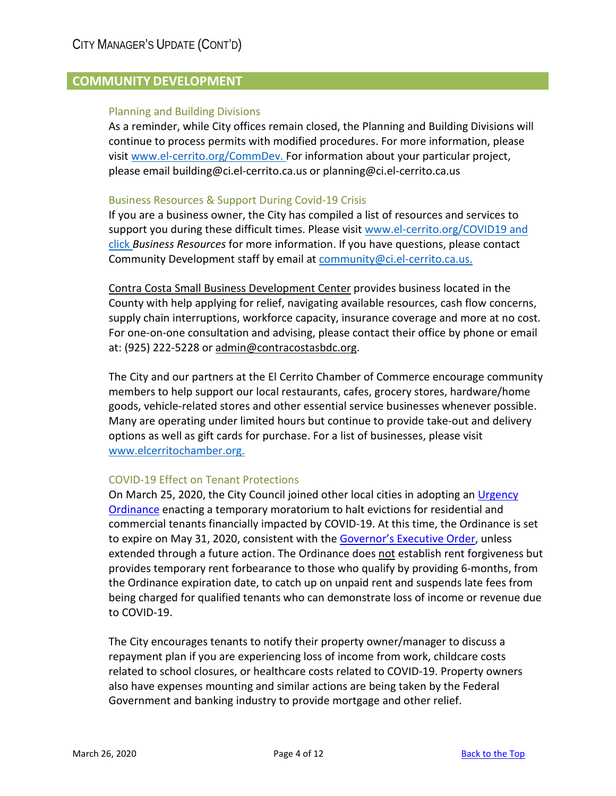# <span id="page-3-0"></span>**COMMUNITY DEVELOPMENT**

#### Planning and Building Divisions

As a reminder, while City offices remain closed, the Planning and Building Divisions will continue to process permits with modified procedures. For more information, please visit [www.el-cerrito.org/CommDev.](http://www.el-cerrito.org/CommDev) For information about your particular project, please emai[l building@ci.el-cerrito.ca.us](mailto:building@ci.el-cerrito.ca.us) or planning@ci.el-cerrito.ca.us

#### Business Resources & Support During Covid-19 Crisis

If you are a business owner, the City has compiled a list of resources and services to support you during these difficult times. Please visit [www.el-cerrito.org/COVID19](http://www.el-cerrito.org/COVID19) and click *Business Resources* for more information. If you have questions, please contact Community Development staff by email at [community@ci.el-cerrito.ca.us.](mailto:community@ci.el-cerrito.ca.us)

[Contra Costa Small Business Development Center](https://www.contracostasbdc.org/) provides business located in the County with help applying for relief, navigating available resources, cash flow concerns, supply chain interruptions, workforce capacity, insurance coverage and more at no cost. For one-on-one consultation and advising, please contact their office by phone or email at: (925) 222-5228 or [admin@contracostasbdc.org.](mailto:admin@contracostasbdc.org)

The City and our partners at the El Cerrito Chamber of Commerce encourage community members to help support our local restaurants, cafes, grocery stores, hardware/home goods, vehicle-related stores and other essential service businesses whenever possible. Many are operating under limited hours but continue to provide take-out and delivery options as well as gift cards for purchase. For a list of businesses, please visit [www.elcerritochamber.org.](http://www.elcerritochamber.org/)

#### COVID-19 Effect on Tenant Protections

On March 25, 2020, the City Council joined other local cities in adopting an [Urgency](https://elcerritoca.civicclerk.com/web/UserControls/DocPreview.aspx?p=1&aoid=297)  [Ordinance](https://elcerritoca.civicclerk.com/web/UserControls/DocPreview.aspx?p=1&aoid=297) enacting a temporary moratorium to halt evictions for residential and commercial tenants financially impacted by COVID-19. At this time, the Ordinance is set to expire on May 31, 2020, consistent with the **Governor's Executive Order**, unless extended through a future action. The Ordinance does not establish rent forgiveness but provides temporary rent forbearance to those who qualify by providing 6-months, from the Ordinance expiration date, to catch up on unpaid rent and suspends late fees from being charged for qualified tenants who can demonstrate loss of income or revenue due to COVID-19.

The City encourages tenants to notify their property owner/manager to discuss a repayment plan if you are experiencing loss of income from work, childcare costs related to school closures, or healthcare costs related to COVID-19. Property owners also have expenses mounting and similar actions are being taken by the Federal Government and banking industry to provide mortgage and other relief.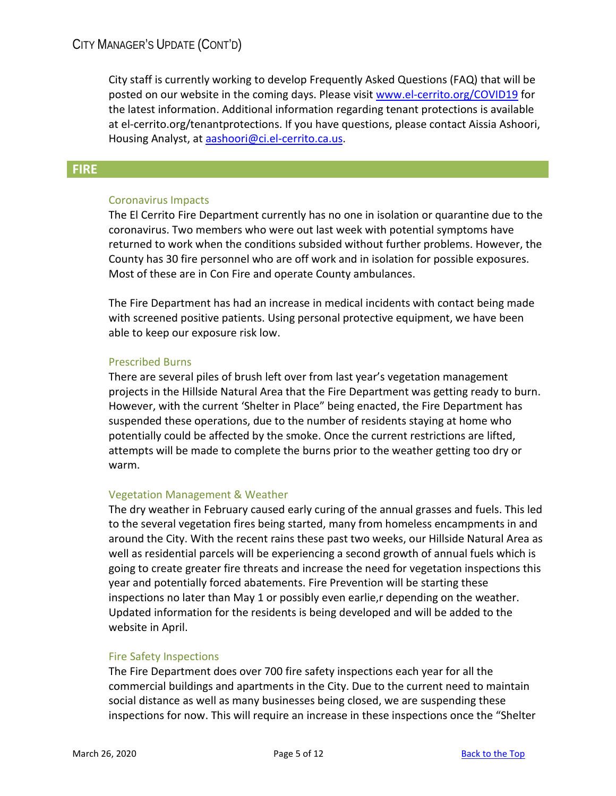City staff is currently working to develop Frequently Asked Questions (FAQ) that will be posted on our website in the coming days. Please visi[t www.el-cerrito.org/COVID19](http://www.el-cerrito.org/COVID19) for the latest information. Additional information regarding tenant protections is available at el-cerrito.org/tenantprotections. If you have questions, please contact Aissia Ashoori, Housing Analyst, at [aashoori@ci.el-cerrito.ca.us.](mailto:aashoori@ci.el-cerrito.ca.us)

## **FIRE**

#### Coronavirus Impacts

The El Cerrito Fire Department currently has no one in isolation or quarantine due to the coronavirus. Two members who were out last week with potential symptoms have returned to work when the conditions subsided without further problems. However, the County has 30 fire personnel who are off work and in isolation for possible exposures. Most of these are in Con Fire and operate County ambulances.

The Fire Department has had an increase in medical incidents with contact being made with screened positive patients. Using personal protective equipment, we have been able to keep our exposure risk low.

#### Prescribed Burns

There are several piles of brush left over from last year's vegetation management projects in the Hillside Natural Area that the Fire Department was getting ready to burn. However, with the current 'Shelter in Place" being enacted, the Fire Department has suspended these operations, due to the number of residents staying at home who potentially could be affected by the smoke. Once the current restrictions are lifted, attempts will be made to complete the burns prior to the weather getting too dry or warm.

#### Vegetation Management & Weather

The dry weather in February caused early curing of the annual grasses and fuels. This led to the several vegetation fires being started, many from homeless encampments in and around the City. With the recent rains these past two weeks, our Hillside Natural Area as well as residential parcels will be experiencing a second growth of annual fuels which is going to create greater fire threats and increase the need for vegetation inspections this year and potentially forced abatements. Fire Prevention will be starting these inspections no later than May 1 or possibly even earlie,r depending on the weather. Updated information for the residents is being developed and will be added to the website in April.

#### Fire Safety Inspections

The Fire Department does over 700 fire safety inspections each year for all the commercial buildings and apartments in the City. Due to the current need to maintain social distance as well as many businesses being closed, we are suspending these inspections for now. This will require an increase in these inspections once the "Shelter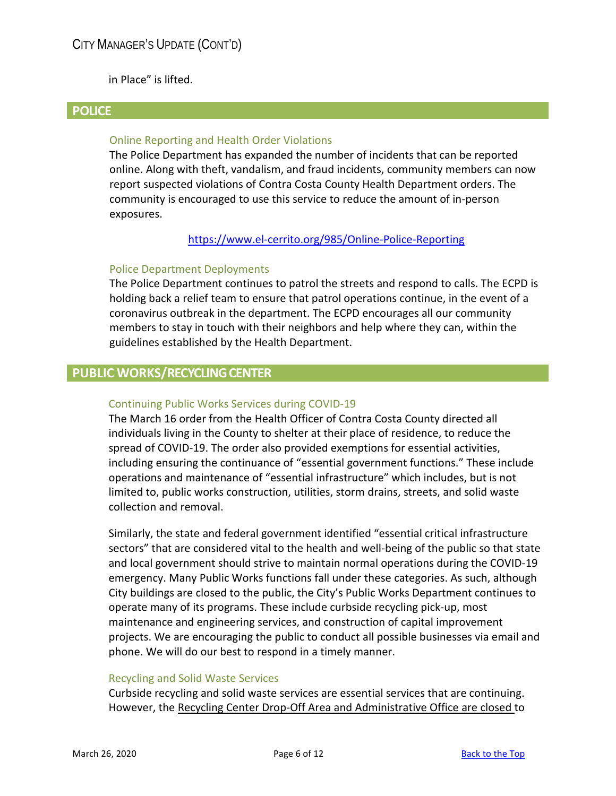in Place" is lifted.

### **POLICE**

### Online Reporting and Health Order Violations

The Police Department has expanded the number of incidents that can be reported online. Along with theft, vandalism, and fraud incidents, community members can now report suspected violations of Contra Costa County Health Department orders. The community is encouraged to use this service to reduce the amount of in-person exposures.

#### <https://www.el-cerrito.org/985/Online-Police-Reporting>

#### Police Department Deployments

The Police Department continues to patrol the streets and respond to calls. The ECPD is holding back a relief team to ensure that patrol operations continue, in the event of a coronavirus outbreak in the department. The ECPD encourages all our community members to stay in touch with their neighbors and help where they can, within the guidelines established by the Health Department.

## <span id="page-5-0"></span>**PUBLIC WORKS/RECYCLING CENTER**

#### Continuing Public Works Services during COVID-19

The March 16 order from the Health Officer of Contra Costa County directed all individuals living in the County to shelter at their place of residence, to reduce the spread of COVID-19. The order also provided exemptions for essential activities, including ensuring the continuance of "essential government functions." These include operations and maintenance of "essential infrastructure" which includes, but is not limited to, public works construction, utilities, storm drains, streets, and solid waste collection and removal.

Similarly, the state and federal government identified "essential critical infrastructure sectors" that are considered vital to the health and well-being of the public so that state and local government should strive to maintain normal operations during the COVID-19 emergency. Many Public Works functions fall under these categories. As such, although City buildings are closed to the public, the City's Public Works Department continues to operate many of its programs. These include curbside recycling pick-up, most maintenance and engineering services, and construction of capital improvement projects. We are encouraging the public to conduct all possible businesses via email and phone. We will do our best to respond in a timely manner.

#### Recycling and Solid Waste Services

Curbside recycling and solid waste services are essential services that are continuing. However, the Recycling Center Drop-Off Area and Administrative Office are closed to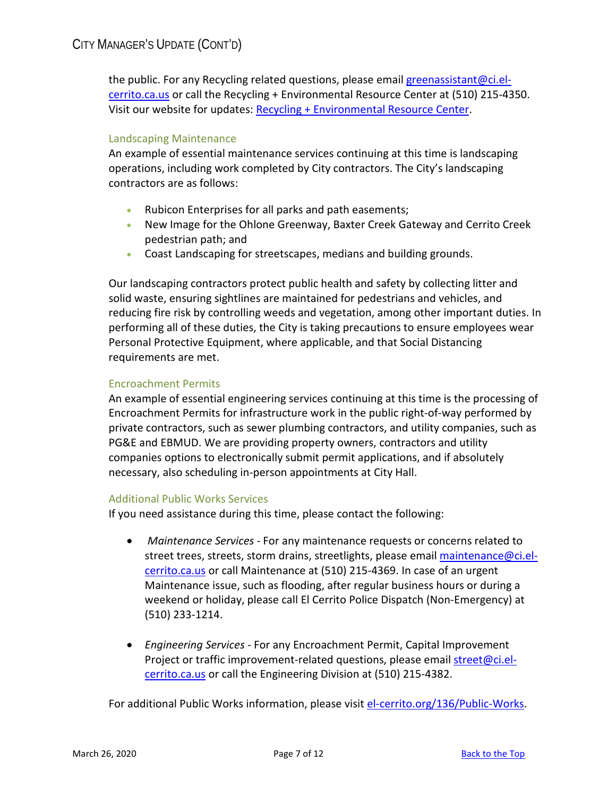the public. For any Recycling related questions, please email [greenassistant@ci.el](mailto:greenassistant@ci.el-cerrito.ca.us)[cerrito.ca.us](mailto:greenassistant@ci.el-cerrito.ca.us) or call the Recycling + Environmental Resource Center at (510) 215-4350. Visit our website for updates: [Recycling + Environmental Resource Center.](http://www.el-cerrito.org/533/Recycling-Environmental-Resource-Center)

## Landscaping Maintenance

An example of essential maintenance services continuing at this time is landscaping operations, including work completed by City contractors. The City's landscaping contractors are as follows:

- Rubicon Enterprises for all parks and path easements;
- New Image for the Ohlone Greenway, Baxter Creek Gateway and Cerrito Creek pedestrian path; and
- Coast Landscaping for streetscapes, medians and building grounds.

Our landscaping contractors protect public health and safety by collecting litter and solid waste, ensuring sightlines are maintained for pedestrians and vehicles, and reducing fire risk by controlling weeds and vegetation, among other important duties. In performing all of these duties, the City is taking precautions to ensure employees wear Personal Protective Equipment, where applicable, and that Social Distancing requirements are met.

#### Encroachment Permits

An example of essential engineering services continuing at this time is the processing of Encroachment Permits for infrastructure work in the public right-of-way performed by private contractors, such as sewer plumbing contractors, and utility companies, such as PG&E and EBMUD. We are providing property owners, contractors and utility companies options to electronically submit permit applications, and if absolutely necessary, also scheduling in-person appointments at City Hall.

#### Additional Public Works Services

If you need assistance during this time, please contact the following:

- *Maintenance Services -* For any maintenance requests or concerns related to street trees, streets, storm drains, streetlights, please email [maintenance@ci.el](mailto:maintenance@ci.el-cerrito.ca.us)[cerrito.ca.us](mailto:maintenance@ci.el-cerrito.ca.us) or call Maintenance at (510) 215-4369. In case of an urgent Maintenance issue, such as flooding, after regular business hours or during a weekend or holiday, please call El Cerrito Police Dispatch (Non-Emergency) at (510) 233-1214.
- *Engineering Services -* For any Encroachment Permit, Capital Improvement Project or traffic improvement-related questions, please email [street@ci.el](mailto:street@ci.el-cerrito.ca.us)[cerrito.ca.us](mailto:street@ci.el-cerrito.ca.us) or call the Engineering Division at (510) 215-4382.

For additional Public Works information, please visit [el-cerrito.org/136/Public-Works.](http://www.el-cerrito.org/136/Public-Works)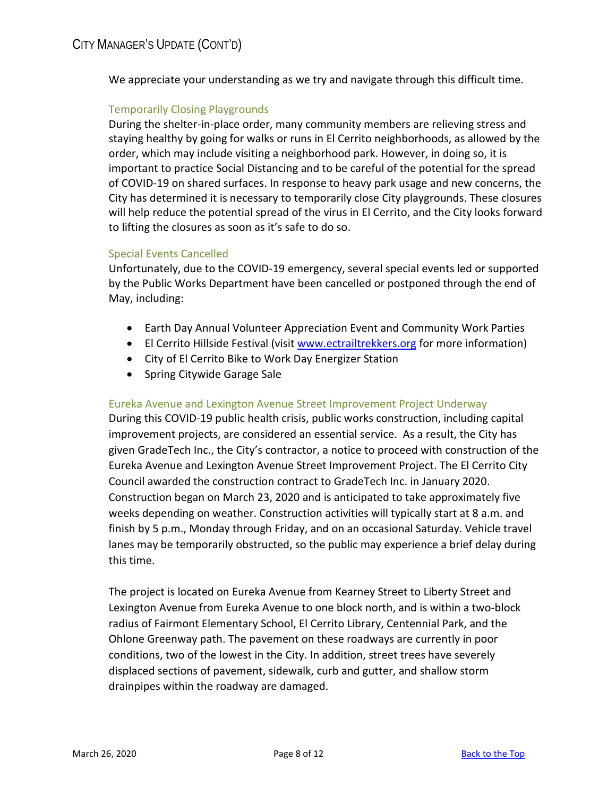We appreciate your understanding as we try and navigate through this difficult time.

## Temporarily Closing Playgrounds

During the shelter-in-place order, many community members are relieving stress and staying healthy by going for walks or runs in El Cerrito neighborhoods, as allowed by the order, which may include visiting a neighborhood park. However, in doing so, it is important to practice Social Distancing and to be careful of the potential for the spread of COVID-19 on shared surfaces. In response to heavy park usage and new concerns, the City has determined it is necessary to temporarily close City playgrounds. These closures will help reduce the potential spread of the virus in El Cerrito, and the City looks forward to lifting the closures as soon as it's safe to do so.

#### Special Events Cancelled

Unfortunately, due to the COVID-19 emergency, several special events led or supported by the Public Works Department have been cancelled or postponed through the end of May, including:

- Earth Day Annual Volunteer Appreciation Event and Community Work Parties
- El Cerrito Hillside Festival (visit [www.ectrailtrekkers.org](http://www.ectrailtrekkers.org/) for more information)
- City of El Cerrito Bike to Work Day Energizer Station
- Spring Citywide Garage Sale

#### Eureka Avenue and Lexington Avenue Street Improvement Project Underway

During this COVID-19 public health crisis, public works construction, including capital improvement projects, are considered an essential service. As a result, the City has given GradeTech Inc., the City's contractor, a notice to proceed with construction of the Eureka Avenue and Lexington Avenue Street Improvement Project. The El Cerrito City Council awarded the construction contract to GradeTech Inc. in January 2020. Construction began on March 23, 2020 and is anticipated to take approximately five weeks depending on weather. Construction activities will typically start at 8 a.m. and finish by 5 p.m., Monday through Friday, and on an occasional Saturday. Vehicle travel lanes may be temporarily obstructed, so the public may experience a brief delay during this time.

The project is located on Eureka Avenue from Kearney Street to Liberty Street and Lexington Avenue from Eureka Avenue to one block north, and is within a two-block radius of Fairmont Elementary School, El Cerrito Library, Centennial Park, and the Ohlone Greenway path. The pavement on these roadways are currently in poor conditions, two of the lowest in the City. In addition, street trees have severely displaced sections of pavement, sidewalk, curb and gutter, and shallow storm drainpipes within the roadway are damaged.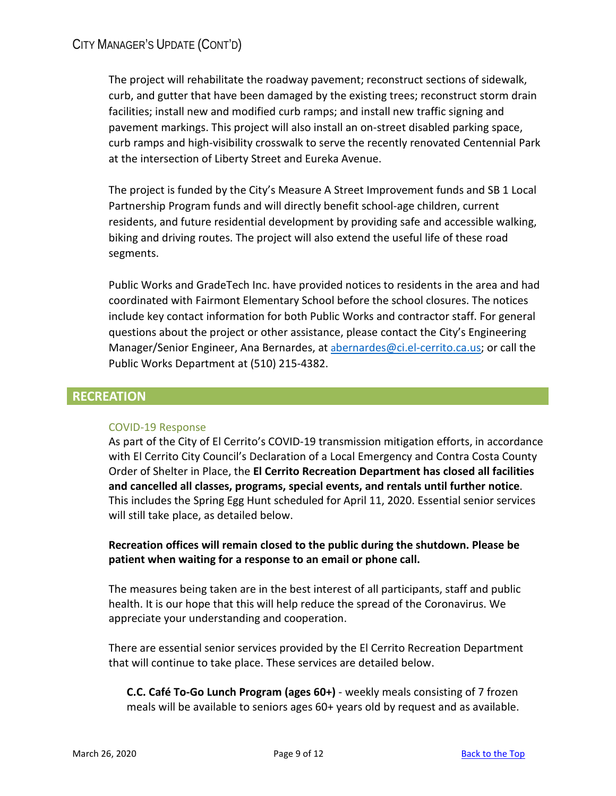<span id="page-8-0"></span>The project will rehabilitate the roadway pavement; reconstruct sections of sidewalk, curb, and gutter that have been damaged by the existing trees; reconstruct storm drain facilities; install new and modified curb ramps; and install new traffic signing and pavement markings. This project will also install an on-street disabled parking space, curb ramps and high-visibility crosswalk to serve the recently renovated Centennial Park at the intersection of Liberty Street and Eureka Avenue.

The project is funded by the City's Measure A Street Improvement funds and SB 1 Local Partnership Program funds and will directly benefit school-age children, current residents, and future residential development by providing safe and accessible walking, biking and driving routes. The project will also extend the useful life of these road segments.

Public Works and GradeTech Inc. have provided notices to residents in the area and had coordinated with Fairmont Elementary School before the school closures. The notices include key contact information for both Public Works and contractor staff. For general questions about the project or other assistance, please contact the City's Engineering Manager/Senior Engineer, Ana Bernardes, at [abernardes@ci.el-cerrito.ca.us;](mailto:abernardes@ci.el-cerrito.ca.us) or call the Public Works Department at (510) 215-4382.

# **RECREATION**

# COVID-19 Response

As part of the City of El Cerrito's COVID-19 transmission mitigation efforts, in accordance with El Cerrito City Council's Declaration of a Local Emergency and Contra Costa County Order of Shelter in Place, the **El Cerrito Recreation Department has closed all facilities and cancelled all classes, programs, special events, and rentals until further notice**. This includes the Spring Egg Hunt scheduled for April 11, 2020. Essential senior services will still take place, as detailed below.

**Recreation offices will remain closed to the public during the shutdown. Please be patient when waiting for a response to an email or phone call.**

The measures being taken are in the best interest of all participants, staff and public health. It is our hope that this will help reduce the spread of the Coronavirus. We appreciate your understanding and cooperation.

There are essential senior services provided by the El Cerrito Recreation Department that will continue to take place. These services are detailed below.

**C.C. Café To-Go Lunch Program (ages 60+)** - weekly meals consisting of 7 frozen meals will be available to seniors ages 60+ years old by request and as available.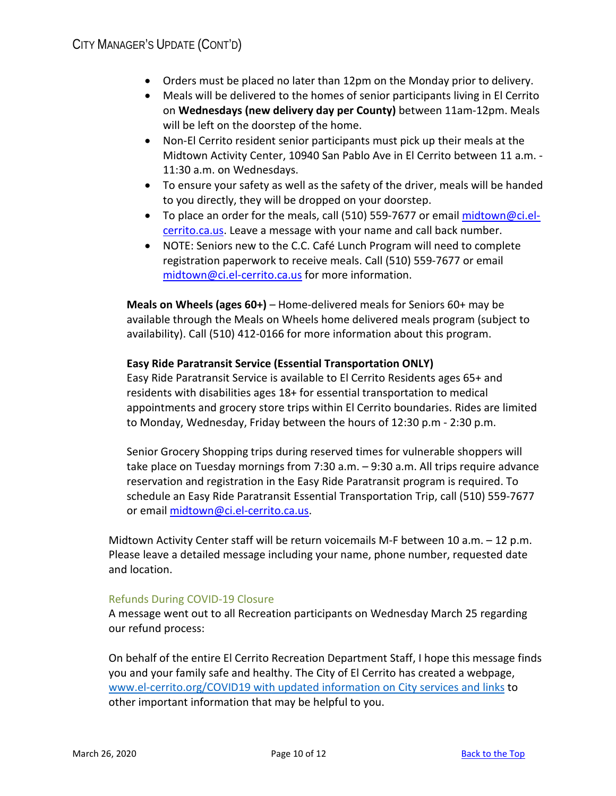- Orders must be placed no later than 12pm on the Monday prior to delivery.
- Meals will be delivered to the homes of senior participants living in El Cerrito on **Wednesdays (new delivery day per County)** between 11am-12pm. Meals will be left on the doorstep of the home.
- Non-El Cerrito resident senior participants must pick up their meals at the Midtown Activity Center, 10940 San Pablo Ave in El Cerrito between 11 a.m. - 11:30 a.m. on Wednesdays.
- To ensure your safety as well as the safety of the driver, meals will be handed to you directly, they will be dropped on your doorstep.
- To place an order for the meals, call (510) 559-7677 or email [midtown@ci.el](mailto:midtown@ci.el-cerrito.ca.us)[cerrito.ca.us.](mailto:midtown@ci.el-cerrito.ca.us) Leave a message with your name and call back number.
- NOTE: Seniors new to the C.C. Café Lunch Program will need to complete registration paperwork to receive meals. Call (510) 559-7677 or email [midtown@ci.el-cerrito.ca.us](mailto:midtown@ci.el-cerrito.ca.us) for more information.

**Meals on Wheels (ages 60+)** – Home-delivered meals for Seniors 60+ may be available through the Meals on Wheels home delivered meals program (subject to availability). Call (510) 412-0166 for more information about this program.

## **Easy Ride Paratransit Service (Essential Transportation ONLY)**

Easy Ride Paratransit Service is available to El Cerrito Residents ages 65+ and residents with disabilities ages 18+ for essential transportation to medical appointments and grocery store trips within El Cerrito boundaries. Rides are limited to Monday, Wednesday, Friday between the hours of 12:30 p.m - 2:30 p.m.

Senior Grocery Shopping trips during reserved times for vulnerable shoppers will take place on Tuesday mornings from 7:30 a.m. – 9:30 a.m. All trips require advance reservation and registration in the Easy Ride Paratransit program is required. To schedule an Easy Ride Paratransit Essential Transportation Trip, call (510) 559-7677 or emai[l midtown@ci.el-cerrito.ca.us.](mailto:midtown@ci.el-cerrito.ca.us)

Midtown Activity Center staff will be return voicemails M-F between 10 a.m. – 12 p.m. Please leave a detailed message including your name, phone number, requested date and location.

#### Refunds During COVID-19 Closure

A message went out to all Recreation participants on Wednesday March 25 regarding our refund process:

On behalf of the entire El Cerrito Recreation Department Staff, I hope this message finds you and your family safe and healthy. The City of El Cerrito has created a webpage, [www.el-cerrito.org/COVID19](http://www.el-cerrito.org/COVID19) with updated information on City services and links to other important information that may be helpful to you.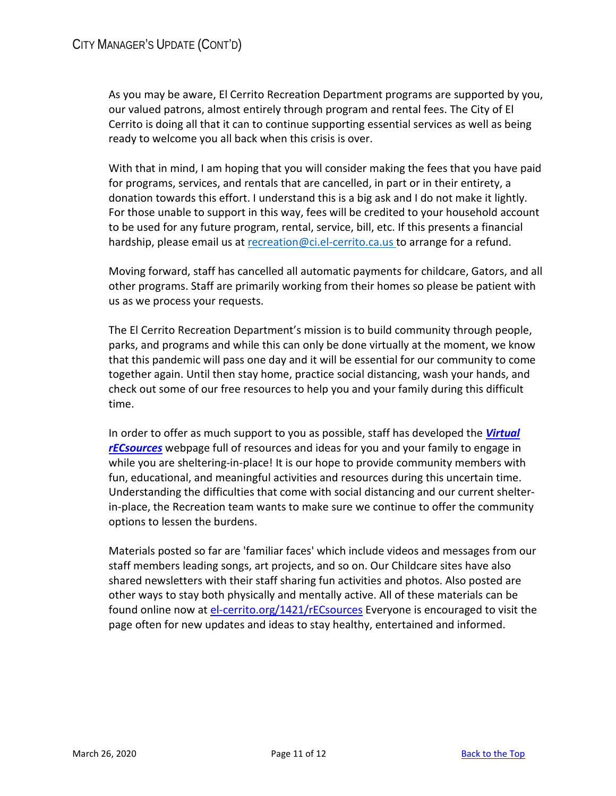As you may be aware, El Cerrito Recreation Department programs are supported by you, our valued patrons, almost entirely through program and rental fees. The City of El Cerrito is doing all that it can to continue supporting essential services as well as being ready to welcome you all back when this crisis is over.

With that in mind, I am hoping that you will consider making the fees that you have paid for programs, services, and rentals that are cancelled, in part or in their entirety, a donation towards this effort. I understand this is a big ask and I do not make it lightly. For those unable to support in this way, fees will be credited to your household account to be used for any future program, rental, service, bill, etc. If this presents a financial hardship, please email us at [recreation@ci.el-cerrito.ca.us](mailto:recreation@ci.el-cerrito.ca.us) to arrange for a refund.

Moving forward, staff has cancelled all automatic payments for childcare, Gators, and all other programs. Staff are primarily working from their homes so please be patient with us as we process your requests.

The El Cerrito Recreation Department's mission is to build community through people, parks, and programs and while this can only be done virtually at the moment, we know that this pandemic will pass one day and it will be essential for our community to come together again. Until then stay home, practice social distancing, wash your hands, and check out some of our free resources to help you and your family during this difficult time.

In order to offer as much support to you as possible, staff has developed the *[Virtual](http://el-cerrito.org/1421/rECsources)  [rECsources](http://el-cerrito.org/1421/rECsources)* webpage full of resources and ideas for you and your family to engage in while you are sheltering-in-place! It is our hope to provide community members with fun, educational, and meaningful activities and resources during this uncertain time. Understanding the difficulties that come with social distancing and our current shelterin-place, the Recreation team wants to make sure we continue to offer the community options to lessen the burdens.

Materials posted so far are 'familiar faces' which include videos and messages from our staff members leading songs, art projects, and so on. Our Childcare sites have also shared newsletters with their staff sharing fun activities and photos. Also posted are other ways to stay both physically and mentally active. All of these materials can be found online now at [el-cerrito.org/1421/rECsources](http://el-cerrito.org/1421/rECsources) Everyone is encouraged to visit the page often for new updates and ideas to stay healthy, entertained and informed.